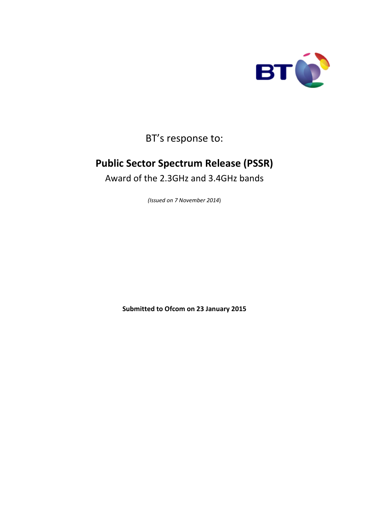

BT's response to:

# **Public Sector Spectrum Release (PSSR)**

Award of the 2.3GHz and 3.4GHz bands

*(Issued on 7 November 2014*)

**Submitted to Ofcom on 23 January 2015**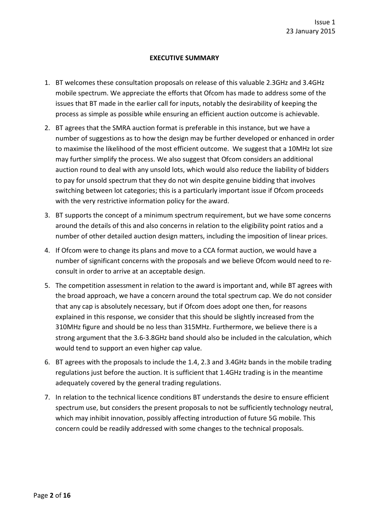#### **EXECUTIVE SUMMARY**

- 1. BT welcomes these consultation proposals on release of this valuable 2.3GHz and 3.4GHz mobile spectrum. We appreciate the efforts that Ofcom has made to address some of the issues that BT made in the earlier call for inputs, notably the desirability of keeping the process as simple as possible while ensuring an efficient auction outcome is achievable.
- 2. BT agrees that the SMRA auction format is preferable in this instance, but we have a number of suggestions as to how the design may be further developed or enhanced in order to maximise the likelihood of the most efficient outcome. We suggest that a 10MHz lot size may further simplify the process. We also suggest that Ofcom considers an additional auction round to deal with any unsold lots, which would also reduce the liability of bidders to pay for unsold spectrum that they do not win despite genuine bidding that involves switching between lot categories; this is a particularly important issue if Ofcom proceeds with the very restrictive information policy for the award.
- 3. BT supports the concept of a minimum spectrum requirement, but we have some concerns around the details of this and also concerns in relation to the eligibility point ratios and a number of other detailed auction design matters, including the imposition of linear prices.
- 4. If Ofcom were to change its plans and move to a CCA format auction, we would have a number of significant concerns with the proposals and we believe Ofcom would need to reconsult in order to arrive at an acceptable design.
- 5. The competition assessment in relation to the award is important and, while BT agrees with the broad approach, we have a concern around the total spectrum cap. We do not consider that any cap is absolutely necessary, but if Ofcom does adopt one then, for reasons explained in this response, we consider that this should be slightly increased from the 310MHz figure and should be no less than 315MHz. Furthermore, we believe there is a strong argument that the 3.6-3.8GHz band should also be included in the calculation, which would tend to support an even higher cap value.
- 6. BT agrees with the proposals to include the 1.4, 2.3 and 3.4GHz bands in the mobile trading regulations just before the auction. It is sufficient that 1.4GHz trading is in the meantime adequately covered by the general trading regulations.
- 7. In relation to the technical licence conditions BT understands the desire to ensure efficient spectrum use, but considers the present proposals to not be sufficiently technology neutral, which may inhibit innovation, possibly affecting introduction of future 5G mobile. This concern could be readily addressed with some changes to the technical proposals.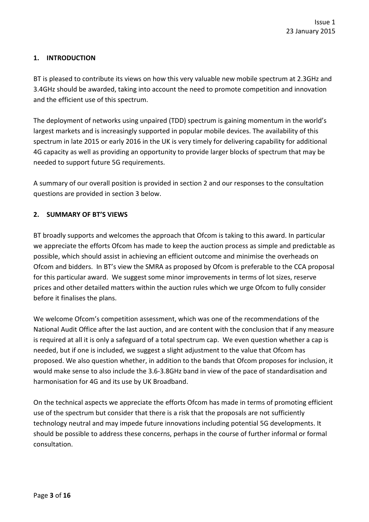#### **1. INTRODUCTION**

BT is pleased to contribute its views on how this very valuable new mobile spectrum at 2.3GHz and 3.4GHz should be awarded, taking into account the need to promote competition and innovation and the efficient use of this spectrum.

The deployment of networks using unpaired (TDD) spectrum is gaining momentum in the world's largest markets and is increasingly supported in popular mobile devices. The availability of this spectrum in late 2015 or early 2016 in the UK is very timely for delivering capability for additional 4G capacity as well as providing an opportunity to provide larger blocks of spectrum that may be needed to support future 5G requirements.

A summary of our overall position is provided in section 2 and our responses to the consultation questions are provided in section 3 below.

#### **2. SUMMARY OF BT'S VIEWS**

BT broadly supports and welcomes the approach that Ofcom is taking to this award. In particular we appreciate the efforts Ofcom has made to keep the auction process as simple and predictable as possible, which should assist in achieving an efficient outcome and minimise the overheads on Ofcom and bidders. In BT's view the SMRA as proposed by Ofcom is preferable to the CCA proposal for this particular award. We suggest some minor improvements in terms of lot sizes, reserve prices and other detailed matters within the auction rules which we urge Ofcom to fully consider before it finalises the plans.

We welcome Ofcom's competition assessment, which was one of the recommendations of the National Audit Office after the last auction, and are content with the conclusion that if any measure is required at all it is only a safeguard of a total spectrum cap. We even question whether a cap is needed, but if one is included, we suggest a slight adjustment to the value that Ofcom has proposed. We also question whether, in addition to the bands that Ofcom proposes for inclusion, it would make sense to also include the 3.6-3.8GHz band in view of the pace of standardisation and harmonisation for 4G and its use by UK Broadband.

On the technical aspects we appreciate the efforts Ofcom has made in terms of promoting efficient use of the spectrum but consider that there is a risk that the proposals are not sufficiently technology neutral and may impede future innovations including potential 5G developments. It should be possible to address these concerns, perhaps in the course of further informal or formal consultation.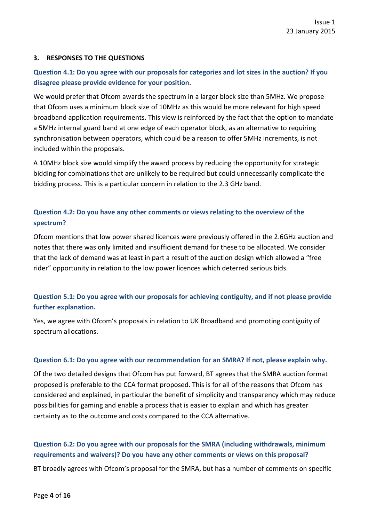#### **3. RESPONSES TO THE QUESTIONS**

## **Question 4.1: Do you agree with our proposals for categories and lot sizes in the auction? If you disagree please provide evidence for your position.**

We would prefer that Ofcom awards the spectrum in a larger block size than 5MHz. We propose that Ofcom uses a minimum block size of 10MHz as this would be more relevant for high speed broadband application requirements. This view is reinforced by the fact that the option to mandate a 5MHz internal guard band at one edge of each operator block, as an alternative to requiring synchronisation between operators, which could be a reason to offer 5MHz increments, is not included within the proposals.

A 10MHz block size would simplify the award process by reducing the opportunity for strategic bidding for combinations that are unlikely to be required but could unnecessarily complicate the bidding process. This is a particular concern in relation to the 2.3 GHz band.

## **Question 4.2: Do you have any other comments or views relating to the overview of the spectrum?**

Ofcom mentions that low power shared licences were previously offered in the 2.6GHz auction and notes that there was only limited and insufficient demand for these to be allocated. We consider that the lack of demand was at least in part a result of the auction design which allowed a "free rider" opportunity in relation to the low power licences which deterred serious bids.

## **Question 5.1: Do you agree with our proposals for achieving contiguity, and if not please provide further explanation.**

Yes, we agree with Ofcom's proposals in relation to UK Broadband and promoting contiguity of spectrum allocations.

#### **Question 6.1: Do you agree with our recommendation for an SMRA? If not, please explain why.**

Of the two detailed designs that Ofcom has put forward, BT agrees that the SMRA auction format proposed is preferable to the CCA format proposed. This is for all of the reasons that Ofcom has considered and explained, in particular the benefit of simplicity and transparency which may reduce possibilities for gaming and enable a process that is easier to explain and which has greater certainty as to the outcome and costs compared to the CCA alternative.

#### **Question 6.2: Do you agree with our proposals for the SMRA (including withdrawals, minimum requirements and waivers)? Do you have any other comments or views on this proposal?**

BT broadly agrees with Ofcom's proposal for the SMRA, but has a number of comments on specific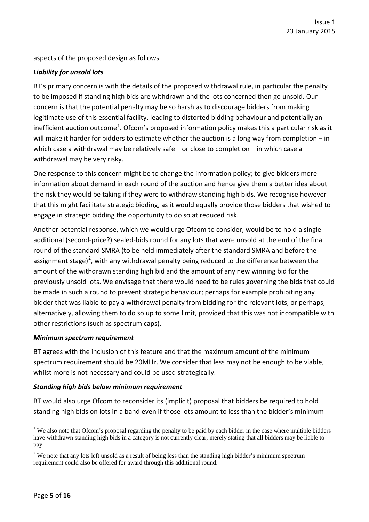aspects of the proposed design as follows.

#### *Liability for unsold lots*

BT's primary concern is with the details of the proposed withdrawal rule, in particular the penalty to be imposed if standing high bids are withdrawn and the lots concerned then go unsold. Our concern is that the potential penalty may be so harsh as to discourage bidders from making legitimate use of this essential facility, leading to distorted bidding behaviour and potentially an inefficient auction outcome<sup>[1](#page-4-0)</sup>. Ofcom's proposed information policy makes this a particular risk as it will make it harder for bidders to estimate whether the auction is a long way from completion – in which case a withdrawal may be relatively safe – or close to completion – in which case a withdrawal may be very risky.

One response to this concern might be to change the information policy; to give bidders more information about demand in each round of the auction and hence give them a better idea about the risk they would be taking if they were to withdraw standing high bids. We recognise however that this might facilitate strategic bidding, as it would equally provide those bidders that wished to engage in strategic bidding the opportunity to do so at reduced risk.

Another potential response, which we would urge Ofcom to consider, would be to hold a single additional (second-price?) sealed-bids round for any lots that were unsold at the end of the final round of the standard SMRA (to be held immediately after the standard SMRA and before the assignment stage)<sup>[2](#page-4-1)</sup>, with any withdrawal penalty being reduced to the difference between the amount of the withdrawn standing high bid and the amount of any new winning bid for the previously unsold lots. We envisage that there would need to be rules governing the bids that could be made in such a round to prevent strategic behaviour; perhaps for example prohibiting any bidder that was liable to pay a withdrawal penalty from bidding for the relevant lots, or perhaps, alternatively, allowing them to do so up to some limit, provided that this was not incompatible with other restrictions (such as spectrum caps).

#### *Minimum spectrum requirement*

BT agrees with the inclusion of this feature and that the maximum amount of the minimum spectrum requirement should be 20MHz. We consider that less may not be enough to be viable, whilst more is not necessary and could be used strategically.

#### *Standing high bids below minimum requirement*

BT would also urge Ofcom to reconsider its (implicit) proposal that bidders be required to hold standing high bids on lots in a band even if those lots amount to less than the bidder's minimum

<span id="page-4-0"></span> $\frac{1}{1}$  We also note that Ofcom's proposal regarding the penalty to be paid by each bidder in the case where multiple bidders have withdrawn standing high bids in a category is not currently clear, merely stating that all bidders may be liable to pay.

<span id="page-4-1"></span><sup>&</sup>lt;sup>2</sup> We note that any lots left unsold as a result of being less than the standing high bidder's minimum spectrum requirement could also be offered for award through this additional round.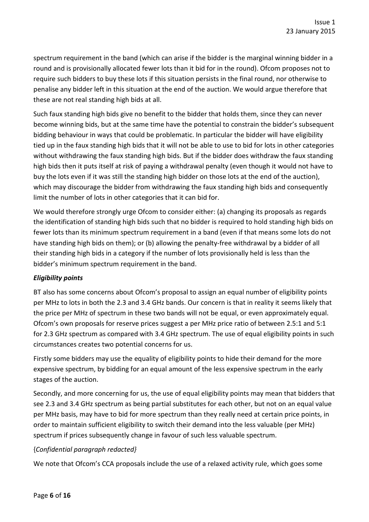spectrum requirement in the band (which can arise if the bidder is the marginal winning bidder in a round and is provisionally allocated fewer lots than it bid for in the round). Ofcom proposes not to require such bidders to buy these lots if this situation persists in the final round, nor otherwise to penalise any bidder left in this situation at the end of the auction. We would argue therefore that these are not real standing high bids at all.

Such faux standing high bids give no benefit to the bidder that holds them, since they can never become winning bids, but at the same time have the potential to constrain the bidder's subsequent bidding behaviour in ways that could be problematic. In particular the bidder will have eligibility tied up in the faux standing high bids that it will not be able to use to bid for lots in other categories without withdrawing the faux standing high bids. But if the bidder does withdraw the faux standing high bids then it puts itself at risk of paying a withdrawal penalty (even though it would not have to buy the lots even if it was still the standing high bidder on those lots at the end of the auction), which may discourage the bidder from withdrawing the faux standing high bids and consequently limit the number of lots in other categories that it can bid for.

We would therefore strongly urge Ofcom to consider either: (a) changing its proposals as regards the identification of standing high bids such that no bidder is required to hold standing high bids on fewer lots than its minimum spectrum requirement in a band (even if that means some lots do not have standing high bids on them); or (b) allowing the penalty-free withdrawal by a bidder of all their standing high bids in a category if the number of lots provisionally held is less than the bidder's minimum spectrum requirement in the band.

## *Eligibility points*

BT also has some concerns about Ofcom's proposal to assign an equal number of eligibility points per MHz to lots in both the 2.3 and 3.4 GHz bands. Our concern is that in reality it seems likely that the price per MHz of spectrum in these two bands will not be equal, or even approximately equal. Ofcom's own proposals for reserve prices suggest a per MHz price ratio of between 2.5:1 and 5:1 for 2.3 GHz spectrum as compared with 3.4 GHz spectrum. The use of equal eligibility points in such circumstances creates two potential concerns for us.

Firstly some bidders may use the equality of eligibility points to hide their demand for the more expensive spectrum, by bidding for an equal amount of the less expensive spectrum in the early stages of the auction.

Secondly, and more concerning for us, the use of equal eligibility points may mean that bidders that see 2.3 and 3.4 GHz spectrum as being partial substitutes for each other, but not on an equal value per MHz basis, may have to bid for more spectrum than they really need at certain price points, in order to maintain sufficient eligibility to switch their demand into the less valuable (per MHz) spectrum if prices subsequently change in favour of such less valuable spectrum.

## {*Confidential paragraph redacted}*

We note that Ofcom's CCA proposals include the use of a relaxed activity rule, which goes some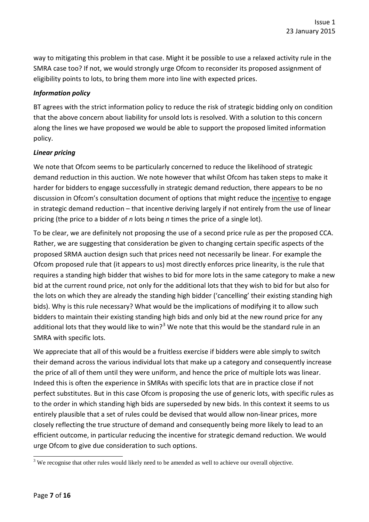way to mitigating this problem in that case. Might it be possible to use a relaxed activity rule in the SMRA case too? If not, we would strongly urge Ofcom to reconsider its proposed assignment of eligibility points to lots, to bring them more into line with expected prices.

#### *Information policy*

BT agrees with the strict information policy to reduce the risk of strategic bidding only on condition that the above concern about liability for unsold lots is resolved. With a solution to this concern along the lines we have proposed we would be able to support the proposed limited information policy.

#### *Linear pricing*

We note that Ofcom seems to be particularly concerned to reduce the likelihood of strategic demand reduction in this auction. We note however that whilst Ofcom has taken steps to make it harder for bidders to engage successfully in strategic demand reduction, there appears to be no discussion in Ofcom's consultation document of options that might reduce the incentive to engage in strategic demand reduction – that incentive deriving largely if not entirely from the use of linear pricing (the price to a bidder of *n* lots being *n* times the price of a single lot).

To be clear, we are definitely not proposing the use of a second price rule as per the proposed CCA. Rather, we are suggesting that consideration be given to changing certain specific aspects of the proposed SRMA auction design such that prices need not necessarily be linear. For example the Ofcom proposed rule that (it appears to us) most directly enforces price linearity, is the rule that requires a standing high bidder that wishes to bid for more lots in the same category to make a new bid at the current round price, not only for the additional lots that they wish to bid for but also for the lots on which they are already the standing high bidder ('cancelling' their existing standing high bids). Why is this rule necessary? What would be the implications of modifying it to allow such bidders to maintain their existing standing high bids and only bid at the new round price for any additional lots that they would like to win?<sup>[3](#page-6-0)</sup> We note that this would be the standard rule in an SMRA with specific lots.

We appreciate that all of this would be a fruitless exercise if bidders were able simply to switch their demand across the various individual lots that make up a category and consequently increase the price of all of them until they were uniform, and hence the price of multiple lots was linear. Indeed this is often the experience in SMRAs with specific lots that are in practice close if not perfect substitutes. But in this case Ofcom is proposing the use of generic lots, with specific rules as to the order in which standing high bids are superseded by new bids. In this context it seems to us entirely plausible that a set of rules could be devised that would allow non-linear prices, more closely reflecting the true structure of demand and consequently being more likely to lead to an efficient outcome, in particular reducing the incentive for strategic demand reduction. We would urge Ofcom to give due consideration to such options.

<span id="page-6-0"></span> $\frac{3}{3}$  We recognise that other rules would likely need to be amended as well to achieve our overall objective.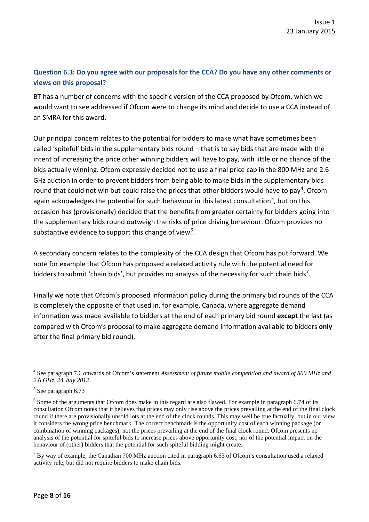# **Question 6.3: Do you agree with our proposals for the CCA? Do you have any other comments or views on this proposal?**

BT has a number of concerns with the specific version of the CCA proposed by Ofcom, which we would want to see addressed if Ofcom were to change its mind and decide to use a CCA instead of an SMRA for this award.

Our principal concern relates to the potential for bidders to make what have sometimes been called 'spiteful' bids in the supplementary bids round – that is to say bids that are made with the intent of increasing the price other winning bidders will have to pay, with little or no chance of the bids actually winning. Ofcom expressly decided not to use a final price cap in the 800 MHz and 2.6 GHz auction in order to prevent bidders from being able to make bids in the supplementary bids round that could not win but could raise the prices that other bidders would have to pay<sup>[4](#page-7-0)</sup>. Ofcom again acknowledges the potential for such behaviour in this latest consultation<sup>[5](#page-7-1)</sup>, but on this occasion has (provisionally) decided that the benefits from greater certainty for bidders going into the supplementary bids round outweigh the risks of price driving behaviour. Ofcom provides no substantive evidence to support this change of view<sup>[6](#page-7-2)</sup>.

A secondary concern relates to the complexity of the CCA design that Ofcom has put forward. We note for example that Ofcom has proposed a relaxed activity rule with the potential need for bidders to submit 'chain bids', but provides no analysis of the necessity for such chain bids<sup>[7](#page-7-3)</sup>.

Finally we note that Ofcom's proposed information policy during the primary bid rounds of the CCA is completely the opposite of that used in, for example, Canada, where aggregate demand information was made available to bidders at the end of each primary bid round **except** the last (as compared with Ofcom's proposal to make aggregate demand information available to bidders **only** after the final primary bid round).

<span id="page-7-0"></span><sup>4</sup> See paragraph 7.6 onwards of Ofcom's statement *Assessment of future mobile competition and award of 800 MHz and 2.6 GHz, 24 July 2012*

<span id="page-7-1"></span><sup>5</sup> See paragraph 6.73

<span id="page-7-2"></span><sup>&</sup>lt;sup>6</sup> Some of the arguments that Ofcom does make in this regard are also flawed. For example in paragraph 6.74 of its consultation Ofcom notes that it believes that prices may only rise above the prices prevailing at the end of the final clock round if there are provisionally unsold lots at the end of the clock rounds. This may well be true factually, but in our view it considers the wrong price benchmark. The correct benchmark is the opportunity cost of each winning package (or combination of winning packages), not the prices prevailing at the end of the final clock round. Ofcom presents no analysis of the potential for spiteful bids to increase prices above opportunity cost, nor of the potential impact on the behaviour of (other) bidders that the potential for such spiteful bidding might create.

<span id="page-7-3"></span> $7$  By way of example, the Canadian 700 MHz auction cited in paragraph 6.63 of Ofcom's consultation used a relaxed activity rule, but did not require bidders to make chain bids.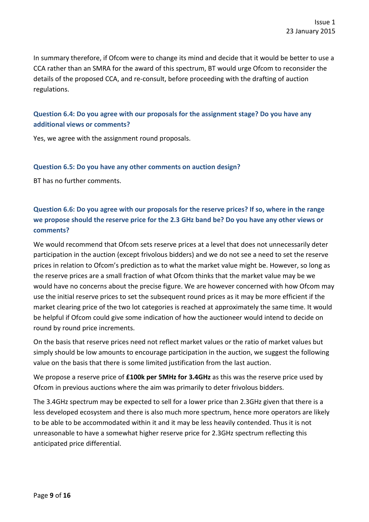In summary therefore, if Ofcom were to change its mind and decide that it would be better to use a CCA rather than an SMRA for the award of this spectrum, BT would urge Ofcom to reconsider the details of the proposed CCA, and re-consult, before proceeding with the drafting of auction regulations.

## **Question 6.4: Do you agree with our proposals for the assignment stage? Do you have any additional views or comments?**

Yes, we agree with the assignment round proposals.

#### **Question 6.5: Do you have any other comments on auction design?**

BT has no further comments.

# **Question 6.6: Do you agree with our proposals for the reserve prices? If so, where in the range we propose should the reserve price for the 2.3 GHz band be? Do you have any other views or comments?**

We would recommend that Ofcom sets reserve prices at a level that does not unnecessarily deter participation in the auction (except frivolous bidders) and we do not see a need to set the reserve prices in relation to Ofcom's prediction as to what the market value might be. However, so long as the reserve prices are a small fraction of what Ofcom thinks that the market value may be we would have no concerns about the precise figure. We are however concerned with how Ofcom may use the initial reserve prices to set the subsequent round prices as it may be more efficient if the market clearing price of the two lot categories is reached at approximately the same time. It would be helpful if Ofcom could give some indication of how the auctioneer would intend to decide on round by round price increments.

On the basis that reserve prices need not reflect market values or the ratio of market values but simply should be low amounts to encourage participation in the auction, we suggest the following value on the basis that there is some limited justification from the last auction.

We propose a reserve price of **£100k per 5MHz for 3.4GHz** as this was the reserve price used by Ofcom in previous auctions where the aim was primarily to deter frivolous bidders.

The 3.4GHz spectrum may be expected to sell for a lower price than 2.3GHz given that there is a less developed ecosystem and there is also much more spectrum, hence more operators are likely to be able to be accommodated within it and it may be less heavily contended. Thus it is not unreasonable to have a somewhat higher reserve price for 2.3GHz spectrum reflecting this anticipated price differential.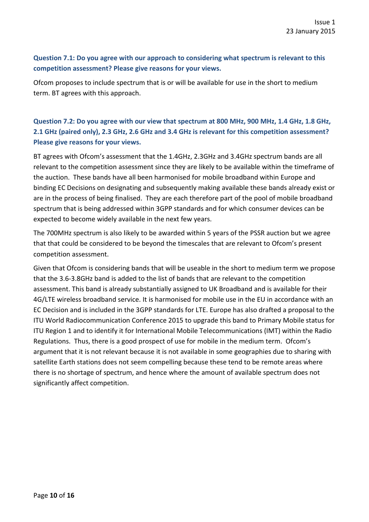#### **Question 7.1: Do you agree with our approach to considering what spectrum is relevant to this competition assessment? Please give reasons for your views.**

Ofcom proposes to include spectrum that is or will be available for use in the short to medium term. BT agrees with this approach.

# **Question 7.2: Do you agree with our view that spectrum at 800 MHz, 900 MHz, 1.4 GHz, 1.8 GHz, 2.1 GHz (paired only), 2.3 GHz, 2.6 GHz and 3.4 GHz is relevant for this competition assessment? Please give reasons for your views.**

BT agrees with Ofcom's assessment that the 1.4GHz, 2.3GHz and 3.4GHz spectrum bands are all relevant to the competition assessment since they are likely to be available within the timeframe of the auction. These bands have all been harmonised for mobile broadband within Europe and binding EC Decisions on designating and subsequently making available these bands already exist or are in the process of being finalised. They are each therefore part of the pool of mobile broadband spectrum that is being addressed within 3GPP standards and for which consumer devices can be expected to become widely available in the next few years.

The 700MHz spectrum is also likely to be awarded within 5 years of the PSSR auction but we agree that that could be considered to be beyond the timescales that are relevant to Ofcom's present competition assessment.

Given that Ofcom is considering bands that will be useable in the short to medium term we propose that the 3.6-3.8GHz band is added to the list of bands that are relevant to the competition assessment. This band is already substantially assigned to UK Broadband and is available for their 4G/LTE wireless broadband service. It is harmonised for mobile use in the EU in accordance with an EC Decision and is included in the 3GPP standards for LTE. Europe has also drafted a proposal to the ITU World Radiocommunication Conference 2015 to upgrade this band to Primary Mobile status for ITU Region 1 and to identify it for International Mobile Telecommunications (IMT) within the Radio Regulations. Thus, there is a good prospect of use for mobile in the medium term. Ofcom's argument that it is not relevant because it is not available in some geographies due to sharing with satellite Earth stations does not seem compelling because these tend to be remote areas where there is no shortage of spectrum, and hence where the amount of available spectrum does not significantly affect competition.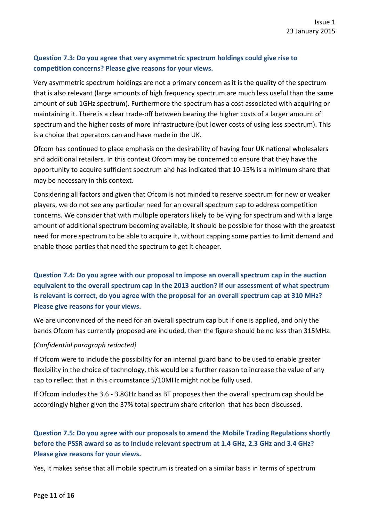## **Question 7.3: Do you agree that very asymmetric spectrum holdings could give rise to competition concerns? Please give reasons for your views.**

Very asymmetric spectrum holdings are not a primary concern as it is the quality of the spectrum that is also relevant (large amounts of high frequency spectrum are much less useful than the same amount of sub 1GHz spectrum). Furthermore the spectrum has a cost associated with acquiring or maintaining it. There is a clear trade-off between bearing the higher costs of a larger amount of spectrum and the higher costs of more infrastructure (but lower costs of using less spectrum). This is a choice that operators can and have made in the UK.

Ofcom has continued to place emphasis on the desirability of having four UK national wholesalers and additional retailers. In this context Ofcom may be concerned to ensure that they have the opportunity to acquire sufficient spectrum and has indicated that 10-15% is a minimum share that may be necessary in this context.

Considering all factors and given that Ofcom is not minded to reserve spectrum for new or weaker players, we do not see any particular need for an overall spectrum cap to address competition concerns. We consider that with multiple operators likely to be vying for spectrum and with a large amount of additional spectrum becoming available, it should be possible for those with the greatest need for more spectrum to be able to acquire it, without capping some parties to limit demand and enable those parties that need the spectrum to get it cheaper.

**Question 7.4: Do you agree with our proposal to impose an overall spectrum cap in the auction equivalent to the overall spectrum cap in the 2013 auction? If our assessment of what spectrum is relevant is correct, do you agree with the proposal for an overall spectrum cap at 310 MHz? Please give reasons for your views.**

We are unconvinced of the need for an overall spectrum cap but if one is applied, and only the bands Ofcom has currently proposed are included, then the figure should be no less than 315MHz.

#### {*Confidential paragraph redacted}*

If Ofcom were to include the possibility for an internal guard band to be used to enable greater flexibility in the choice of technology, this would be a further reason to increase the value of any cap to reflect that in this circumstance 5/10MHz might not be fully used.

If Ofcom includes the 3.6 - 3.8GHz band as BT proposes then the overall spectrum cap should be accordingly higher given the 37% total spectrum share criterion that has been discussed.

# **Question 7.5: Do you agree with our proposals to amend the Mobile Trading Regulations shortly before the PSSR award so as to include relevant spectrum at 1.4 GHz, 2.3 GHz and 3.4 GHz? Please give reasons for your views.**

Yes, it makes sense that all mobile spectrum is treated on a similar basis in terms of spectrum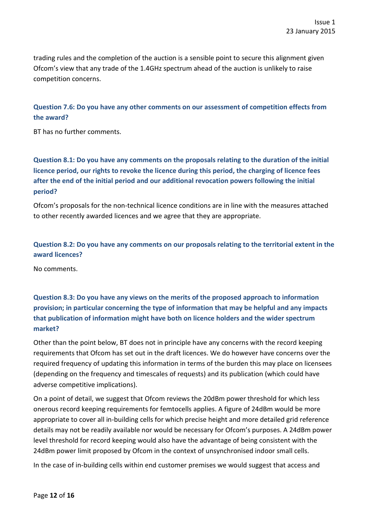trading rules and the completion of the auction is a sensible point to secure this alignment given Ofcom's view that any trade of the 1.4GHz spectrum ahead of the auction is unlikely to raise competition concerns.

## **Question 7.6: Do you have any other comments on our assessment of competition effects from the award?**

BT has no further comments.

# **Question 8.1: Do you have any comments on the proposals relating to the duration of the initial licence period, our rights to revoke the licence during this period, the charging of licence fees after the end of the initial period and our additional revocation powers following the initial period?**

Ofcom's proposals for the non-technical licence conditions are in line with the measures attached to other recently awarded licences and we agree that they are appropriate.

**Question 8.2: Do you have any comments on our proposals relating to the territorial extent in the award licences?**

No comments.

# **Question 8.3: Do you have any views on the merits of the proposed approach to information provision; in particular concerning the type of information that may be helpful and any impacts that publication of information might have both on licence holders and the wider spectrum market?**

Other than the point below, BT does not in principle have any concerns with the record keeping requirements that Ofcom has set out in the draft licences. We do however have concerns over the required frequency of updating this information in terms of the burden this may place on licensees (depending on the frequency and timescales of requests) and its publication (which could have adverse competitive implications).

On a point of detail, we suggest that Ofcom reviews the 20dBm power threshold for which less onerous record keeping requirements for femtocells applies. A figure of 24dBm would be more appropriate to cover all in-building cells for which precise height and more detailed grid reference details may not be readily available nor would be necessary for Ofcom's purposes. A 24dBm power level threshold for record keeping would also have the advantage of being consistent with the 24dBm power limit proposed by Ofcom in the context of unsynchronised indoor small cells.

In the case of in-building cells within end customer premises we would suggest that access and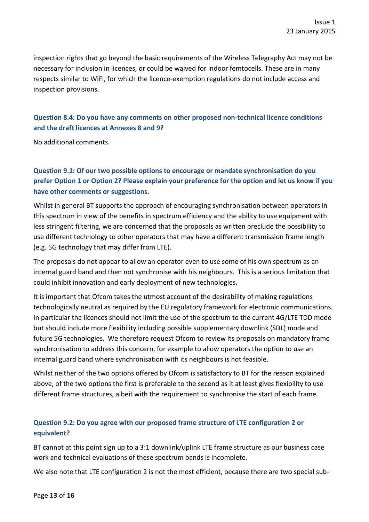inspection rights that go beyond the basic requirements of the Wireless Telegraphy Act may not be necessary for inclusion in licences, or could be waived for indoor femtocells. These are in many respects similar to WiFi, for which the licence-exemption regulations do not include access and inspection provisions.

## **Question 8.4: Do you have any comments on other proposed non-technical licence conditions and the draft licences at Annexes 8 and 9?**

No additional comments.

# **Question 9.1: Of our two possible options to encourage or mandate synchronisation do you prefer Option 1 or Option 2? Please explain your preference for the option and let us know if you have other comments or suggestions.**

Whilst in general BT supports the approach of encouraging synchronisation between operators in this spectrum in view of the benefits in spectrum efficiency and the ability to use equipment with less stringent filtering, we are concerned that the proposals as written preclude the possibility to use different technology to other operators that may have a different transmission frame length (e.g. 5G technology that may differ from LTE).

The proposals do not appear to allow an operator even to use some of his own spectrum as an internal guard band and then not synchronise with his neighbours. This is a serious limitation that could inhibit innovation and early deployment of new technologies.

It is important that Ofcom takes the utmost account of the desirability of making regulations technologically neutral as required by the EU regulatory framework for electronic communications. In particular the licences should not limit the use of the spectrum to the current 4G/LTE TDD mode but should include more flexibility including possible supplementary downlink (SDL) mode and future 5G technologies. We therefore request Ofcom to review its proposals on mandatory frame synchronisation to address this concern, for example to allow operators the option to use an internal guard band where synchronisation with its neighbours is not feasible.

Whilst neither of the two options offered by Ofcom is satisfactory to BT for the reason explained above, of the two options the first is preferable to the second as it at least gives flexibility to use different frame structures, albeit with the requirement to synchronise the start of each frame.

## **Question 9.2: Do you agree with our proposed frame structure of LTE configuration 2 or equivalent?**

BT cannot at this point sign up to a 3:1 downlink/uplink LTE frame structure as our business case work and technical evaluations of these spectrum bands is incomplete.

We also note that LTE configuration 2 is not the most efficient, because there are two special sub-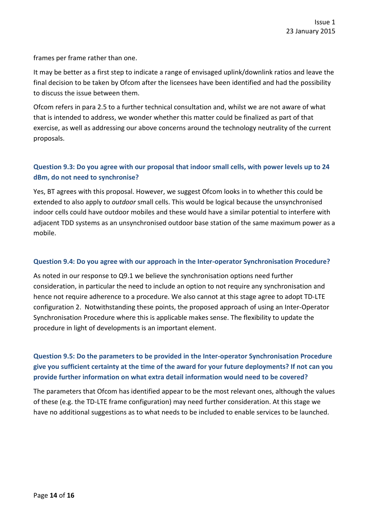frames per frame rather than one.

It may be better as a first step to indicate a range of envisaged uplink/downlink ratios and leave the final decision to be taken by Ofcom after the licensees have been identified and had the possibility to discuss the issue between them.

Ofcom refers in para 2.5 to a further technical consultation and, whilst we are not aware of what that is intended to address, we wonder whether this matter could be finalized as part of that exercise, as well as addressing our above concerns around the technology neutrality of the current proposals.

### **Question 9.3: Do you agree with our proposal that indoor small cells, with power levels up to 24 dBm, do not need to synchronise?**

Yes, BT agrees with this proposal. However, we suggest Ofcom looks in to whether this could be extended to also apply to *outdoor* small cells. This would be logical because the unsynchronised indoor cells could have outdoor mobiles and these would have a similar potential to interfere with adjacent TDD systems as an unsynchronised outdoor base station of the same maximum power as a mobile.

#### **Question 9.4: Do you agree with our approach in the Inter-operator Synchronisation Procedure?**

As noted in our response to Q9.1 we believe the synchronisation options need further consideration, in particular the need to include an option to not require any synchronisation and hence not require adherence to a procedure. We also cannot at this stage agree to adopt TD-LTE configuration 2. Notwithstanding these points, the proposed approach of using an Inter-Operator Synchronisation Procedure where this is applicable makes sense. The flexibility to update the procedure in light of developments is an important element.

## **Question 9.5: Do the parameters to be provided in the Inter-operator Synchronisation Procedure give you sufficient certainty at the time of the award for your future deployments? If not can you provide further information on what extra detail information would need to be covered?**

The parameters that Ofcom has identified appear to be the most relevant ones, although the values of these (e.g. the TD-LTE frame configuration) may need further consideration. At this stage we have no additional suggestions as to what needs to be included to enable services to be launched.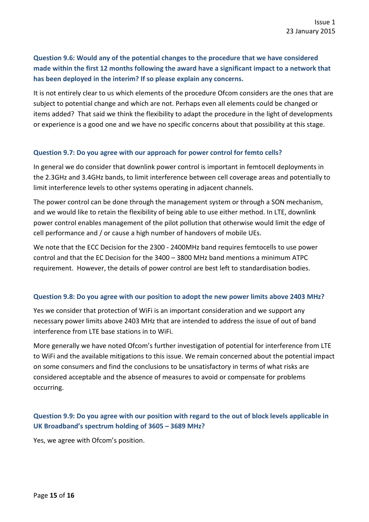# **Question 9.6: Would any of the potential changes to the procedure that we have considered made within the first 12 months following the award have a significant impact to a network that has been deployed in the interim? If so please explain any concerns.**

It is not entirely clear to us which elements of the procedure Ofcom considers are the ones that are subject to potential change and which are not. Perhaps even all elements could be changed or items added? That said we think the flexibility to adapt the procedure in the light of developments or experience is a good one and we have no specific concerns about that possibility at this stage.

#### **Question 9.7: Do you agree with our approach for power control for femto cells?**

In general we do consider that downlink power control is important in femtocell deployments in the 2.3GHz and 3.4GHz bands, to limit interference between cell coverage areas and potentially to limit interference levels to other systems operating in adjacent channels.

The power control can be done through the management system or through a SON mechanism, and we would like to retain the flexibility of being able to use either method. In LTE, downlink power control enables management of the pilot pollution that otherwise would limit the edge of cell performance and / or cause a high number of handovers of mobile UEs.

We note that the ECC Decision for the 2300 - 2400MHz band requires femtocells to use power control and that the EC Decision for the 3400 – 3800 MHz band mentions a minimum ATPC requirement. However, the details of power control are best left to standardisation bodies.

#### **Question 9.8: Do you agree with our position to adopt the new power limits above 2403 MHz?**

Yes we consider that protection of WiFi is an important consideration and we support any necessary power limits above 2403 MHz that are intended to address the issue of out of band interference from LTE base stations in to WiFi.

More generally we have noted Ofcom's further investigation of potential for interference from LTE to WiFi and the available mitigations to this issue. We remain concerned about the potential impact on some consumers and find the conclusions to be unsatisfactory in terms of what risks are considered acceptable and the absence of measures to avoid or compensate for problems occurring.

## **Question 9.9: Do you agree with our position with regard to the out of block levels applicable in UK Broadband's spectrum holding of 3605 – 3689 MHz?**

Yes, we agree with Ofcom's position.